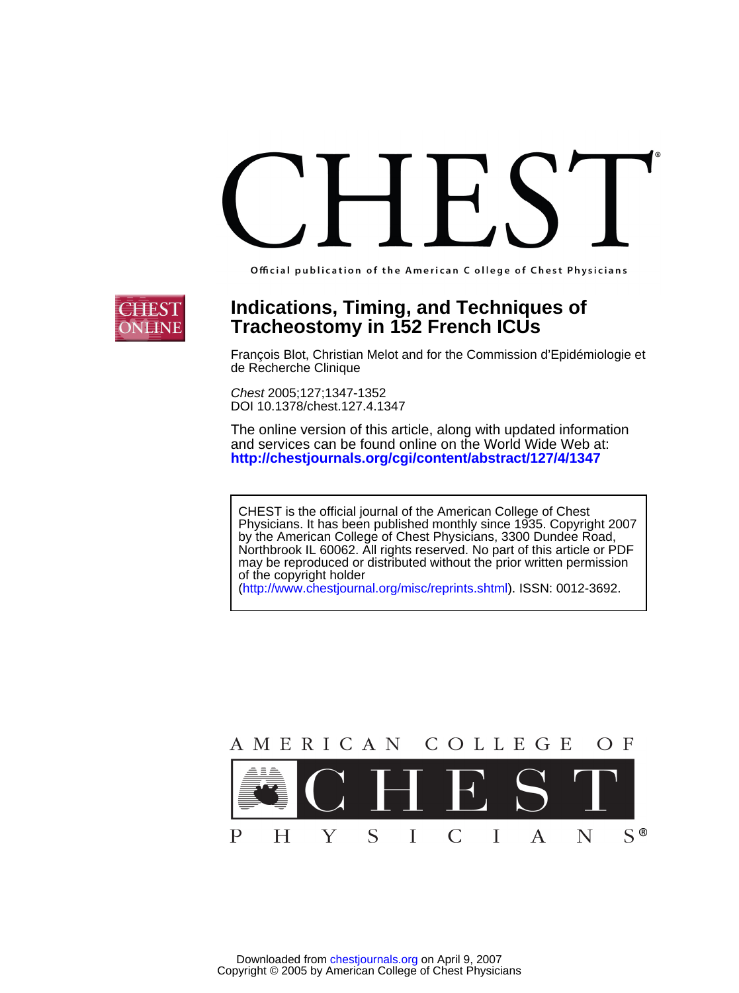Official publication of the American C ollege of Chest Physicians



## **Tracheostomy in 152 French ICUs Indications, Timing, and Techniques of**

de Recherche Clinique François Blot, Christian Melot and for the Commission d'Epidémiologie et

DOI 10.1378/chest.127.4.1347 Chest 2005;127;1347-1352

**<http://chestjournals.org/cgi/content/abstract/127/4/1347>** and services can be found online on the World Wide Web at: The online version of this article, along with updated information

of the copyright holder may be reproduced or distributed without the prior written permission Northbrook IL 60062. All rights reserved. No part of this article or PDF by the American College of Chest Physicians, 3300 Dundee Road, Physicians. It has been published monthly since 1935. Copyright 2007 CHEST is the official journal of the American College of Chest

(http://www.chestjournal.org/misc/reprints.shtml). ISSN: 0012-3692.

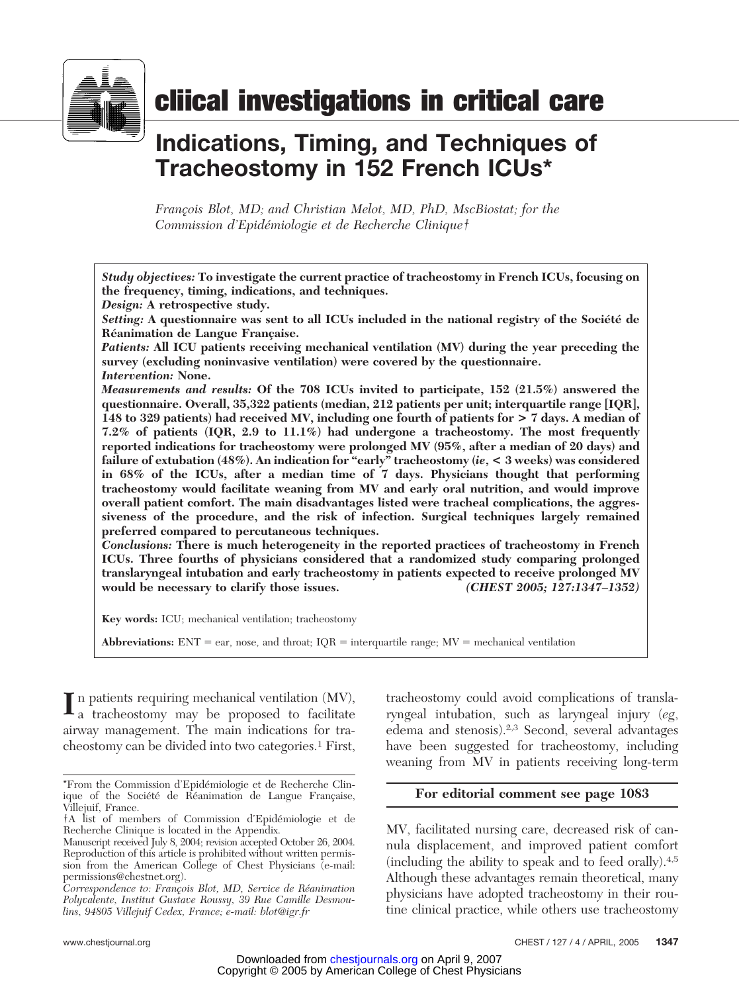

# **cliical investigations in critical care**

# **Indications, Timing, and Techniques of Tracheostomy in 152 French ICUs\***

*Franc˛ois Blot, MD; and Christian Melot, MD, PhD, MscBiostat; for the Commission d'Epide´miologie et de Recherche Clinique†*

*Study objectives:* **To investigate the current practice of tracheostomy in French ICUs, focusing on the frequency, timing, indications, and techniques.**

*Design:* **A retrospective study.**

Setting: A questionnaire was sent to all ICUs included in the national registry of the Société de **Réanimation de Langue Française.** 

*Patients:* **All ICU patients receiving mechanical ventilation (MV) during the year preceding the survey (excluding noninvasive ventilation) were covered by the questionnaire.** *Intervention:* **None.**

*Measurements and results:* **Of the 708 ICUs invited to participate, 152 (21.5%) answered the questionnaire. Overall, 35,322 patients (median, 212 patients per unit; interquartile range [IQR], 148 to 329 patients) had received MV, including one fourth of patients for > 7 days. A median of 7.2% of patients (IQR, 2.9 to 11.1%) had undergone a tracheostomy. The most frequently reported indications for tracheostomy were prolonged MV (95%, after a median of 20 days) and failure of extubation (48%). An indication for "early" tracheostomy (***ie***, < 3 weeks) was considered in 68% of the ICUs, after a median time of 7 days. Physicians thought that performing tracheostomy would facilitate weaning from MV and early oral nutrition, and would improve overall patient comfort. The main disadvantages listed were tracheal complications, the aggressiveness of the procedure, and the risk of infection. Surgical techniques largely remained preferred compared to percutaneous techniques.**

*Conclusions:* **There is much heterogeneity in the reported practices of tracheostomy in French ICUs. Three fourths of physicians considered that a randomized study comparing prolonged translaryngeal intubation and early tracheostomy in patients expected to receive prolonged MV would be necessary to clarify those issues.** *(CHEST 2005; 127:1347–1352)*

**Key words:** ICU; mechanical ventilation; tracheostomy

**Abbreviations:**  $ENT = ear$ , nose, and throat;  $IQR =$  interquartile range;  $MV =$  mechanical ventilation

 $\prod_{a}$  n patients requiring mechanical ventilation (MV), a tracheostomy may be proposed to facilitate airway management. The main indications for tracheostomy can be divided into two categories.1 First,

tracheostomy could avoid complications of translaryngeal intubation, such as laryngeal injury (*eg*, edema and stenosis).2,3 Second, several advantages have been suggested for tracheostomy, including weaning from MV in patients receiving long-term

#### **For editorial comment see page 1083**

MV, facilitated nursing care, decreased risk of cannula displacement, and improved patient comfort (including the ability to speak and to feed orally).4,5 Although these advantages remain theoretical, many physicians have adopted tracheostomy in their routine clinical practice, while others use tracheostomy

<sup>\*</sup>From the Commission d'Epide´miologie et de Recherche Clinique of the Société de Réanimation de Langue Française, Villejuif, France.

<sup>†</sup>A list of members of Commission d'Epide´miologie et de Recherche Clinique is located in the Appendix.

Manuscript received July 8, 2004; revision accepted October 26, 2004. Reproduction of this article is prohibited without written permission from the American College of Chest Physicians (e-mail: permissions@chestnet.org).

*Correspondence to: Franc˛ois Blot, MD, Service de Re´animation Polyvalente, Institut Gustave Roussy, 39 Rue Camille Desmoulins, 94805 Villejuif Cedex, France; e-mail: blot@igr.fr*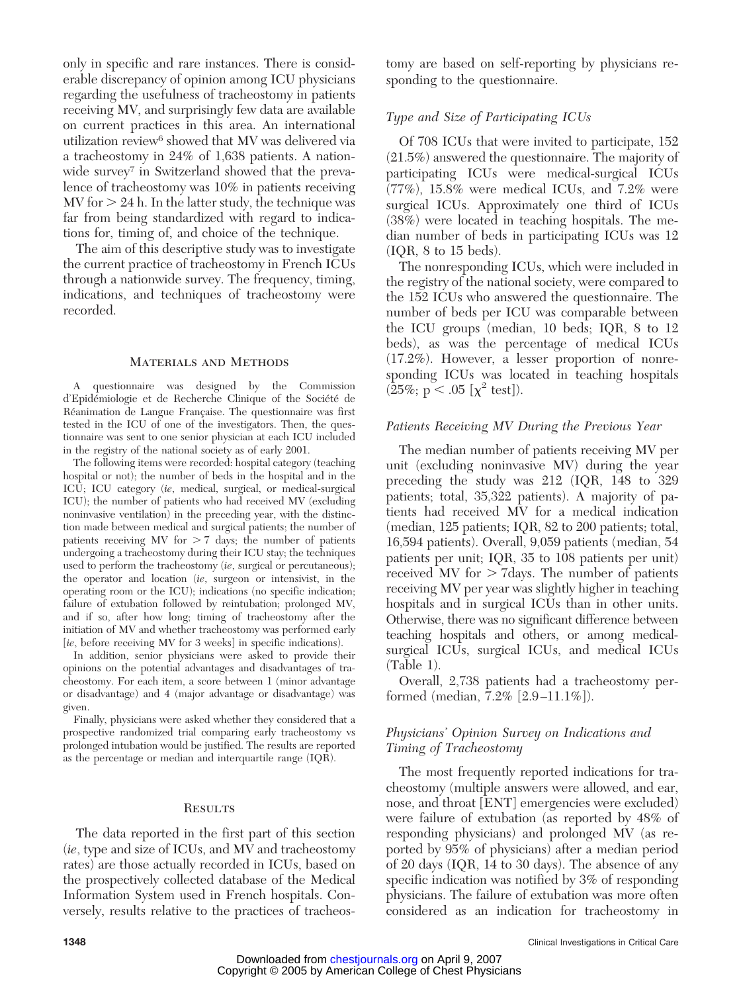only in specific and rare instances. There is considerable discrepancy of opinion among ICU physicians regarding the usefulness of tracheostomy in patients receiving MV, and surprisingly few data are available on current practices in this area. An international utilization review<sup>6</sup> showed that MV was delivered via a tracheostomy in 24% of 1,638 patients. A nationwide survey<sup>7</sup> in Switzerland showed that the prevalence of tracheostomy was 10% in patients receiving  $MV$  for  $> 24$  h. In the latter study, the technique was far from being standardized with regard to indications for, timing of, and choice of the technique.

The aim of this descriptive study was to investigate the current practice of tracheostomy in French ICUs through a nationwide survey. The frequency, timing, indications, and techniques of tracheostomy were recorded.

#### Materials and Methods

A questionnaire was designed by the Commission d'Epidémiologie et de Recherche Clinique of the Société de Réanimation de Langue Française. The questionnaire was first tested in the ICU of one of the investigators. Then, the questionnaire was sent to one senior physician at each ICU included in the registry of the national society as of early 2001.

The following items were recorded: hospital category (teaching hospital or not); the number of beds in the hospital and in the ICU; ICU category (*ie*, medical, surgical, or medical-surgical ICU); the number of patients who had received MV (excluding noninvasive ventilation) in the preceding year, with the distinction made between medical and surgical patients; the number of patients receiving MV for  $> 7$  days; the number of patients undergoing a tracheostomy during their ICU stay; the techniques used to perform the tracheostomy (*ie*, surgical or percutaneous); the operator and location (*ie*, surgeon or intensivist, in the operating room or the ICU); indications (no specific indication; failure of extubation followed by reintubation; prolonged MV, and if so, after how long; timing of tracheostomy after the initiation of MV and whether tracheostomy was performed early [*ie*, before receiving MV for 3 weeks] in specific indications).

In addition, senior physicians were asked to provide their opinions on the potential advantages and disadvantages of tracheostomy. For each item, a score between 1 (minor advantage or disadvantage) and 4 (major advantage or disadvantage) was given.

Finally, physicians were asked whether they considered that a prospective randomized trial comparing early tracheostomy vs prolonged intubation would be justified. The results are reported as the percentage or median and interquartile range (IQR).

#### **RESULTS**

The data reported in the first part of this section (*ie*, type and size of ICUs, and MV and tracheostomy rates) are those actually recorded in ICUs, based on the prospectively collected database of the Medical Information System used in French hospitals. Conversely, results relative to the practices of tracheostomy are based on self-reporting by physicians responding to the questionnaire.

#### *Type and Size of Participating ICUs*

Of 708 ICUs that were invited to participate, 152 (21.5%) answered the questionnaire. The majority of participating ICUs were medical-surgical ICUs (77%), 15.8% were medical ICUs, and 7.2% were surgical ICUs. Approximately one third of ICUs (38%) were located in teaching hospitals. The median number of beds in participating ICUs was 12 (IQR, 8 to 15 beds).

The nonresponding ICUs, which were included in the registry of the national society, were compared to the 152 ICUs who answered the questionnaire. The number of beds per ICU was comparable between the ICU groups (median, 10 beds; IQR, 8 to 12 beds), as was the percentage of medical ICUs (17.2%). However, a lesser proportion of nonresponding ICUs was located in teaching hospitals  $(25\%; p < .05 [x^2 \text{ test}]).$ 

#### *Patients Receiving MV During the Previous Year*

The median number of patients receiving MV per unit (excluding noninvasive MV) during the year preceding the study was 212 (IQR, 148 to 329 patients; total, 35,322 patients). A majority of patients had received MV for a medical indication (median, 125 patients; IQR, 82 to 200 patients; total, 16,594 patients). Overall, 9,059 patients (median, 54 patients per unit; IQR, 35 to 108 patients per unit) received MV for  $> 7$ days. The number of patients receiving MV per year was slightly higher in teaching hospitals and in surgical ICUs than in other units. Otherwise, there was no significant difference between teaching hospitals and others, or among medicalsurgical ICUs, surgical ICUs, and medical ICUs (Table 1).

Overall, 2,738 patients had a tracheostomy performed (median, 7.2% [2.9 –11.1%]).

#### *Physicians' Opinion Survey on Indications and Timing of Tracheostomy*

The most frequently reported indications for tracheostomy (multiple answers were allowed, and ear, nose, and throat [ENT] emergencies were excluded) were failure of extubation (as reported by 48% of responding physicians) and prolonged MV (as reported by 95% of physicians) after a median period of 20 days (IQR, 14 to 30 days). The absence of any specific indication was notified by 3% of responding physicians. The failure of extubation was more often considered as an indication for tracheostomy in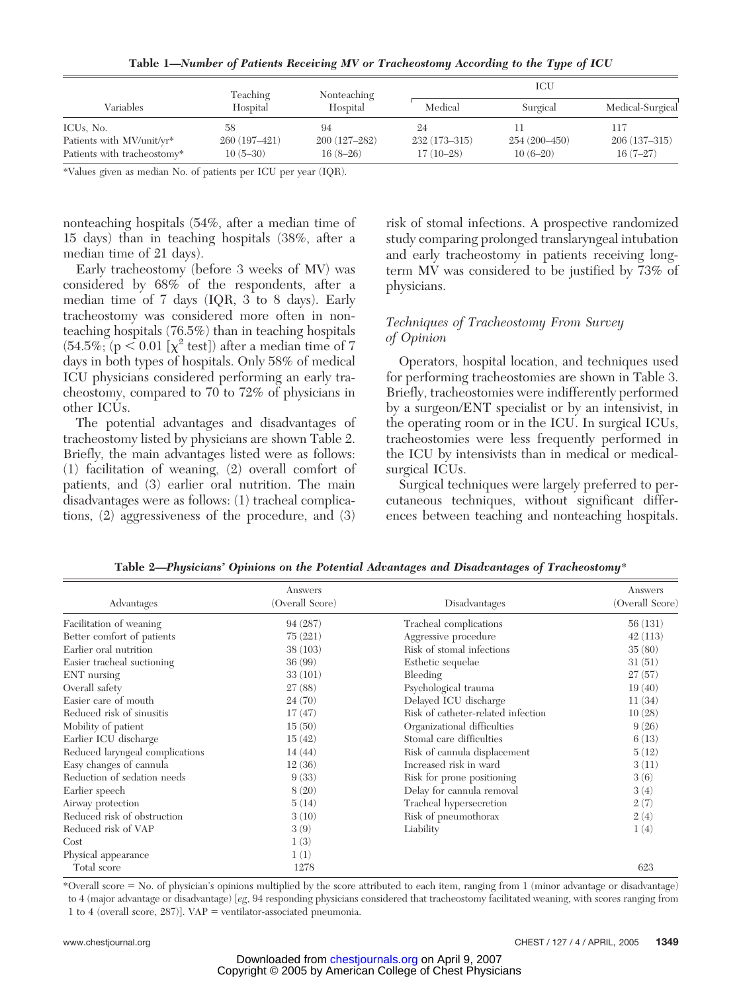**Table 1—***Number of Patients Receiving MV or Tracheostomy According to the Type of ICU*

| Variables                   | Teaching<br>Hospital | Nonteaching<br>Hospital | ICU              |                |                  |
|-----------------------------|----------------------|-------------------------|------------------|----------------|------------------|
|                             |                      |                         | Medical          | Surgical       | Medical-Surgical |
| ICU <sub>s</sub> , No.      | 58                   | 94                      | 24               |                | 117              |
| Patients with MV/unit/yr*   | 260 (197-421)        | $200(127-282)$          | $232(173 - 315)$ | $254(200-450)$ | $206(137-315)$   |
| Patients with tracheostomy* | $10(5-30)$           | $16(8-26)$              | $17(10-28)$      | $10(6-20)$     | $16(7-27)$       |

\*Values given as median No. of patients per ICU per year (IQR).

nonteaching hospitals (54%, after a median time of 15 days) than in teaching hospitals (38%, after a median time of 21 days).

Early tracheostomy (before 3 weeks of MV) was considered by 68% of the respondents, after a median time of 7 days (IQR, 3 to 8 days). Early tracheostomy was considered more often in nonteaching hospitals (76.5%) than in teaching hospitals  $(54.5\%; (p \le 0.01 \left[\chi^2 \text{ test}]\right))$  after a median time of 7 days in both types of hospitals. Only 58% of medical ICU physicians considered performing an early tracheostomy, compared to 70 to 72% of physicians in other ICUs.

The potential advantages and disadvantages of tracheostomy listed by physicians are shown Table 2. Briefly, the main advantages listed were as follows: (1) facilitation of weaning, (2) overall comfort of patients, and (3) earlier oral nutrition. The main disadvantages were as follows: (1) tracheal complications, (2) aggressiveness of the procedure, and (3) risk of stomal infections. A prospective randomized study comparing prolonged translaryngeal intubation and early tracheostomy in patients receiving longterm MV was considered to be justified by 73% of physicians.

#### *Techniques of Tracheostomy From Survey of Opinion*

Operators, hospital location, and techniques used for performing tracheostomies are shown in Table 3. Briefly, tracheostomies were indifferently performed by a surgeon/ENT specialist or by an intensivist, in the operating room or in the ICU. In surgical ICUs, tracheostomies were less frequently performed in the ICU by intensivists than in medical or medicalsurgical ICUs.

Surgical techniques were largely preferred to percutaneous techniques, without significant differences between teaching and nonteaching hospitals.

| Advantages                      | Answers<br>(Overall Score) | Disadvantages                      | Answers<br>(Overall Score) |
|---------------------------------|----------------------------|------------------------------------|----------------------------|
| Facilitation of weaning         | 94 (287)                   | Tracheal complications             | 56(131)                    |
| Better comfort of patients      | 75(221)                    | Aggressive procedure               | 42(113)                    |
| Earlier oral nutrition          | 38(103)                    | Risk of stomal infections          | 35(80)                     |
| Easier tracheal suctioning      | 36(99)                     | Esthetic sequelae                  | 31(51)                     |
| ENT nursing                     | 33(101)                    | Bleeding                           | 27(57)                     |
| Overall safety                  | 27(88)                     | Psychological trauma               | 19(40)                     |
| Easier care of mouth            | 24(70)                     | Delayed ICU discharge              | 11(34)                     |
| Reduced risk of sinusitis       | 17(47)                     | Risk of catheter-related infection | 10(28)                     |
| Mobility of patient             | 15(50)                     | Organizational difficulties        | 9(26)                      |
| Earlier ICU discharge           | 15(42)                     | Stomal care difficulties           | 6(13)                      |
| Reduced laryngeal complications | 14(44)                     | Risk of cannula displacement       | 5(12)                      |
| Easy changes of cannula         | 12(36)                     | Increased risk in ward             | 3(11)                      |
| Reduction of sedation needs     | 9(33)                      | Risk for prone positioning         | 3(6)                       |
| Earlier speech                  | 8(20)                      | Delay for cannula removal          | 3(4)                       |
| Airway protection               | 5(14)                      | Tracheal hypersecretion            | 2(7)                       |
| Reduced risk of obstruction     | 3(10)                      | Risk of pneumothorax               | 2(4)                       |
| Reduced risk of VAP             | 3(9)                       | Liability                          | 1(4)                       |
| Cost                            | 1(3)                       |                                    |                            |
| Physical appearance             | 1(1)                       |                                    |                            |
| Total score                     | 1278                       |                                    | 623                        |

**Table 2—***Physicians' Opinions on the Potential Advantages and Disadvantages of Tracheostomy*\*

\*Overall score No. of physician's opinions multiplied by the score attributed to each item, ranging from 1 (minor advantage or disadvantage) to 4 (major advantage or disadvantage) [*eg*, 94 responding physicians considered that tracheostomy facilitated weaning, with scores ranging from 1 to 4 (overall score,  $287$ )]. VAP = ventilator-associated pneumonia.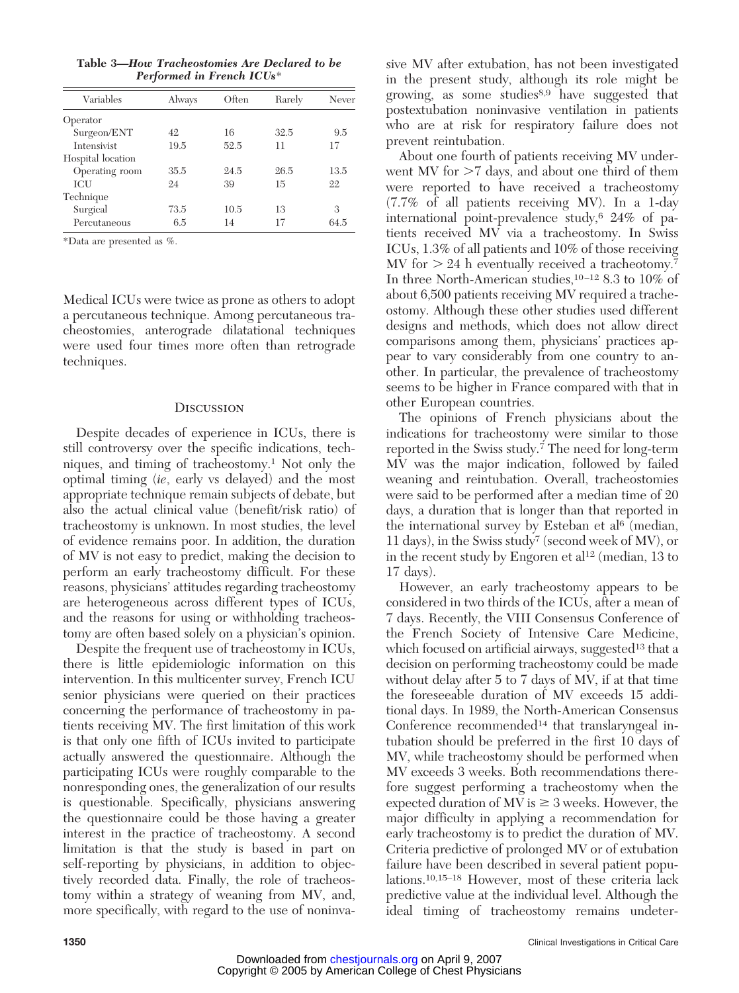**Table 3—***How Tracheostomies Are Declared to be Performed in French ICUs*\*

| Variables         | Always | Often | Rarely | Never |
|-------------------|--------|-------|--------|-------|
| Operator          |        |       |        |       |
| Surgeon/ENT       | 42     | 16    | 32.5   | 9.5   |
| Intensivist       | 19.5   | 52.5  | 11     | 17    |
| Hospital location |        |       |        |       |
| Operating room    | 35.5   | 24.5  | 26.5   | 13.5  |
| <b>ICU</b>        | 24     | 39    | 15     | 22    |
| Technique         |        |       |        |       |
| Surgical          | 73.5   | 10.5  | 13     | 3     |
| Percutaneous      | 6.5    | 14    | 17     | 64.5  |
|                   |        |       |        |       |

\*Data are presented as %.

Medical ICUs were twice as prone as others to adopt a percutaneous technique. Among percutaneous tracheostomies, anterograde dilatational techniques were used four times more often than retrograde techniques.

#### **Discussion**

Despite decades of experience in ICUs, there is still controversy over the specific indications, techniques, and timing of tracheostomy.1 Not only the optimal timing (*ie*, early vs delayed) and the most appropriate technique remain subjects of debate, but also the actual clinical value (benefit/risk ratio) of tracheostomy is unknown. In most studies, the level of evidence remains poor. In addition, the duration of MV is not easy to predict, making the decision to perform an early tracheostomy difficult. For these reasons, physicians' attitudes regarding tracheostomy are heterogeneous across different types of ICUs, and the reasons for using or withholding tracheostomy are often based solely on a physician's opinion.

Despite the frequent use of tracheostomy in ICUs, there is little epidemiologic information on this intervention. In this multicenter survey, French ICU senior physicians were queried on their practices concerning the performance of tracheostomy in patients receiving MV. The first limitation of this work is that only one fifth of ICUs invited to participate actually answered the questionnaire. Although the participating ICUs were roughly comparable to the nonresponding ones, the generalization of our results is questionable. Specifically, physicians answering the questionnaire could be those having a greater interest in the practice of tracheostomy. A second limitation is that the study is based in part on self-reporting by physicians, in addition to objectively recorded data. Finally, the role of tracheostomy within a strategy of weaning from MV, and, more specifically, with regard to the use of noninva-

sive MV after extubation, has not been investigated in the present study, although its role might be growing, as some studies<sup>8,9</sup> have suggested that postextubation noninvasive ventilation in patients who are at risk for respiratory failure does not prevent reintubation.

About one fourth of patients receiving MV underwent MV for  $>7$  days, and about one third of them were reported to have received a tracheostomy (7.7% of all patients receiving MV). In a 1-day international point-prevalence study,  $6\,24\%$  of patients received MV via a tracheostomy. In Swiss ICUs, 1.3% of all patients and 10% of those receiving MV for  $> 24$  h eventually received a tracheotomy.<sup>7</sup> In three North-American studies,  $10-12$  8.3 to  $10\%$  of about 6,500 patients receiving MV required a tracheostomy. Although these other studies used different designs and methods, which does not allow direct comparisons among them, physicians' practices appear to vary considerably from one country to another. In particular, the prevalence of tracheostomy seems to be higher in France compared with that in other European countries.

The opinions of French physicians about the indications for tracheostomy were similar to those reported in the Swiss study.<sup>7</sup> The need for long-term MV was the major indication, followed by failed weaning and reintubation. Overall, tracheostomies were said to be performed after a median time of 20 days, a duration that is longer than that reported in the international survey by Esteban et  $al<sup>6</sup>$  (median, 11 days), in the Swiss study7 (second week of MV), or in the recent study by Engoren et al<sup>12</sup> (median, 13 to 17 days).

However, an early tracheostomy appears to be considered in two thirds of the ICUs, after a mean of 7 days. Recently, the VIII Consensus Conference of the French Society of Intensive Care Medicine, which focused on artificial airways, suggested<sup>13</sup> that a decision on performing tracheostomy could be made without delay after 5 to 7 days of MV, if at that time the foreseeable duration of MV exceeds 15 additional days. In 1989, the North-American Consensus Conference recommended<sup>14</sup> that translaryngeal intubation should be preferred in the first 10 days of MV, while tracheostomy should be performed when MV exceeds 3 weeks. Both recommendations therefore suggest performing a tracheostomy when the expected duration of MV is  $\geq$  3 weeks. However, the major difficulty in applying a recommendation for early tracheostomy is to predict the duration of MV. Criteria predictive of prolonged MV or of extubation failure have been described in several patient populations.10,15–18 However, most of these criteria lack predictive value at the individual level. Although the ideal timing of tracheostomy remains undeter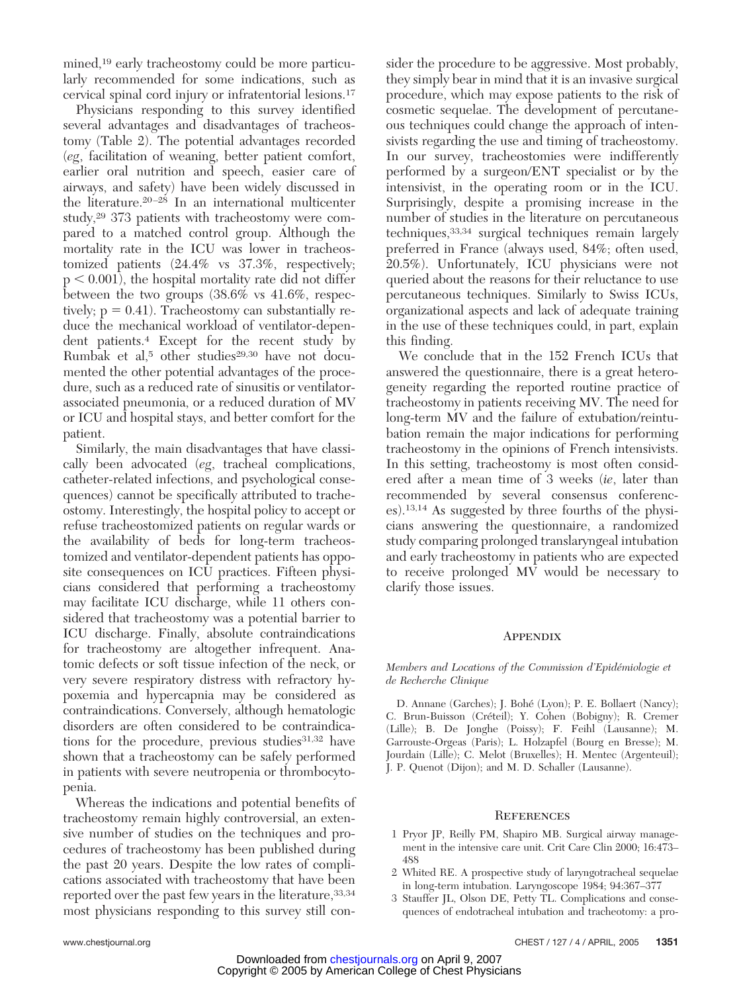mined,<sup>19</sup> early tracheostomy could be more particularly recommended for some indications, such as cervical spinal cord injury or infratentorial lesions.17

Physicians responding to this survey identified several advantages and disadvantages of tracheostomy (Table 2). The potential advantages recorded (*eg*, facilitation of weaning, better patient comfort, earlier oral nutrition and speech, easier care of airways, and safety) have been widely discussed in the literature. $20-28$  In an international multicenter study,29 373 patients with tracheostomy were compared to a matched control group. Although the mortality rate in the ICU was lower in tracheostomized patients (24.4% vs 37.3%, respectively;  $p < 0.001$ , the hospital mortality rate did not differ between the two groups (38.6% vs 41.6%, respectively;  $p = 0.41$ ). Tracheostomy can substantially reduce the mechanical workload of ventilator-dependent patients.4 Except for the recent study by Rumbak et al,<sup>5</sup> other studies<sup>29,30</sup> have not documented the other potential advantages of the procedure, such as a reduced rate of sinusitis or ventilatorassociated pneumonia, or a reduced duration of MV or ICU and hospital stays, and better comfort for the patient.

Similarly, the main disadvantages that have classically been advocated (*eg*, tracheal complications, catheter-related infections, and psychological consequences) cannot be specifically attributed to tracheostomy. Interestingly, the hospital policy to accept or refuse tracheostomized patients on regular wards or the availability of beds for long-term tracheostomized and ventilator-dependent patients has opposite consequences on ICU practices. Fifteen physicians considered that performing a tracheostomy may facilitate ICU discharge, while 11 others considered that tracheostomy was a potential barrier to ICU discharge. Finally, absolute contraindications for tracheostomy are altogether infrequent. Anatomic defects or soft tissue infection of the neck, or very severe respiratory distress with refractory hypoxemia and hypercapnia may be considered as contraindications. Conversely, although hematologic disorders are often considered to be contraindications for the procedure, previous studies $31,32$  have shown that a tracheostomy can be safely performed in patients with severe neutropenia or thrombocytopenia.

Whereas the indications and potential benefits of tracheostomy remain highly controversial, an extensive number of studies on the techniques and procedures of tracheostomy has been published during the past 20 years. Despite the low rates of complications associated with tracheostomy that have been reported over the past few years in the literature,  $33,34$ most physicians responding to this survey still consider the procedure to be aggressive. Most probably, they simply bear in mind that it is an invasive surgical procedure, which may expose patients to the risk of cosmetic sequelae. The development of percutaneous techniques could change the approach of intensivists regarding the use and timing of tracheostomy. In our survey, tracheostomies were indifferently performed by a surgeon/ENT specialist or by the intensivist, in the operating room or in the ICU. Surprisingly, despite a promising increase in the number of studies in the literature on percutaneous techniques,33,34 surgical techniques remain largely preferred in France (always used, 84%; often used, 20.5%). Unfortunately, ICU physicians were not queried about the reasons for their reluctance to use percutaneous techniques. Similarly to Swiss ICUs, organizational aspects and lack of adequate training in the use of these techniques could, in part, explain this finding.

We conclude that in the 152 French ICUs that answered the questionnaire, there is a great heterogeneity regarding the reported routine practice of tracheostomy in patients receiving MV. The need for long-term MV and the failure of extubation/reintubation remain the major indications for performing tracheostomy in the opinions of French intensivists. In this setting, tracheostomy is most often considered after a mean time of 3 weeks (*ie*, later than recommended by several consensus conferences).13,14 As suggested by three fourths of the physicians answering the questionnaire, a randomized study comparing prolonged translaryngeal intubation and early tracheostomy in patients who are expected to receive prolonged MV would be necessary to clarify those issues.

#### **APPENDIX**

*Members and Locations of the Commission d'Epide´miologie et de Recherche Clinique*

D. Annane (Garches); J. Bohe´ (Lyon); P. E. Bollaert (Nancy); C. Brun-Buisson (Créteil); Y. Cohen (Bobigny); R. Cremer (Lille); B. De Jonghe (Poissy); F. Feihl (Lausanne); M. Garrouste-Orgeas (Paris); L. Holzapfel (Bourg en Bresse); M. Jourdain (Lille); C. Melot (Bruxelles); H. Mentec (Argenteuil); J. P. Quenot (Dijon); and M. D. Schaller (Lausanne).

#### **REFERENCES**

- 1 Pryor JP, Reilly PM, Shapiro MB. Surgical airway management in the intensive care unit. Crit Care Clin 2000; 16:473– 488
- 2 Whited RE. A prospective study of laryngotracheal sequelae in long-term intubation. Laryngoscope 1984; 94:367–377
- 3 Stauffer JL, Olson DE, Petty TL. Complications and consequences of endotracheal intubation and tracheotomy: a pro-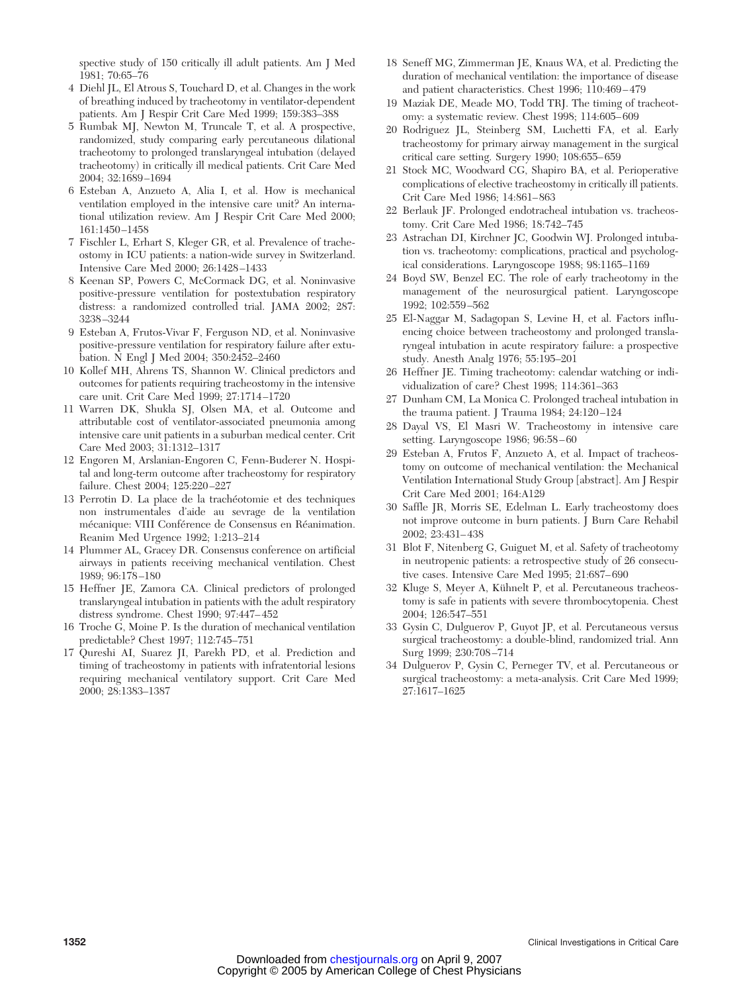spective study of 150 critically ill adult patients. Am J Med 1981; 70:65–76

- 4 Diehl JL, El Atrous S, Touchard D, et al. Changes in the work of breathing induced by tracheotomy in ventilator-dependent patients. Am J Respir Crit Care Med 1999; 159:383–388
- 5 Rumbak MJ, Newton M, Truncale T, et al. A prospective, randomized, study comparing early percutaneous dilational tracheotomy to prolonged translaryngeal intubation (delayed tracheotomy) in critically ill medical patients. Crit Care Med 2004; 32:1689 –1694
- 6 Esteban A, Anzueto A, Alia I, et al. How is mechanical ventilation employed in the intensive care unit? An international utilization review. Am J Respir Crit Care Med 2000; 161:1450 –1458
- 7 Fischler L, Erhart S, Kleger GR, et al. Prevalence of tracheostomy in ICU patients: a nation-wide survey in Switzerland. Intensive Care Med 2000; 26:1428 –1433
- 8 Keenan SP, Powers C, McCormack DG, et al. Noninvasive positive-pressure ventilation for postextubation respiratory distress: a randomized controlled trial. JAMA 2002; 287: 3238 –3244
- 9 Esteban A, Frutos-Vivar F, Ferguson ND, et al. Noninvasive positive-pressure ventilation for respiratory failure after extubation. N Engl J Med 2004; 350:2452–2460
- 10 Kollef MH, Ahrens TS, Shannon W. Clinical predictors and outcomes for patients requiring tracheostomy in the intensive care unit. Crit Care Med 1999; 27:1714 –1720
- 11 Warren DK, Shukla SJ, Olsen MA, et al. Outcome and attributable cost of ventilator-associated pneumonia among intensive care unit patients in a suburban medical center. Crit Care Med 2003; 31:1312–1317
- 12 Engoren M, Arslanian-Engoren C, Fenn-Buderer N. Hospital and long-term outcome after tracheostomy for respiratory failure. Chest 2004; 125:220 –227
- 13 Perrotin D. La place de la trachéotomie et des techniques non instrumentales d'aide au sevrage de la ventilation mécanique: VIII Conférence de Consensus en Réanimation. Reanim Med Urgence 1992; 1:213–214
- 14 Plummer AL, Gracey DR. Consensus conference on artificial airways in patients receiving mechanical ventilation. Chest 1989; 96:178 –180
- 15 Heffner JE, Zamora CA. Clinical predictors of prolonged translaryngeal intubation in patients with the adult respiratory distress syndrome. Chest 1990; 97:447– 452
- 16 Troche G, Moine P. Is the duration of mechanical ventilation predictable? Chest 1997; 112:745–751
- 17 Qureshi AI, Suarez JI, Parekh PD, et al. Prediction and timing of tracheostomy in patients with infratentorial lesions requiring mechanical ventilatory support. Crit Care Med 2000; 28:1383–1387
- 18 Seneff MG, Zimmerman JE, Knaus WA, et al. Predicting the duration of mechanical ventilation: the importance of disease and patient characteristics. Chest 1996; 110:469 – 479
- 19 Maziak DE, Meade MO, Todd TRJ. The timing of tracheotomy: a systematic review. Chest 1998; 114:605– 609
- 20 Rodriguez JL, Steinberg SM, Luchetti FA, et al. Early tracheostomy for primary airway management in the surgical critical care setting. Surgery 1990; 108:655– 659
- 21 Stock MC, Woodward CG, Shapiro BA, et al. Perioperative complications of elective tracheostomy in critically ill patients. Crit Care Med 1986; 14:861– 863
- 22 Berlauk JF. Prolonged endotracheal intubation vs. tracheostomy. Crit Care Med 1986; 18:742–745
- 23 Astrachan DI, Kirchner JC, Goodwin WJ. Prolonged intubation vs. tracheotomy: complications, practical and psychological considerations. Laryngoscope 1988; 98:1165–1169
- 24 Boyd SW, Benzel EC. The role of early tracheotomy in the management of the neurosurgical patient. Laryngoscope 1992; 102:559 –562
- 25 El-Naggar M, Sadagopan S, Levine H, et al. Factors influencing choice between tracheostomy and prolonged translaryngeal intubation in acute respiratory failure: a prospective study. Anesth Analg 1976; 55:195–201
- 26 Heffner JE. Timing tracheotomy: calendar watching or individualization of care? Chest 1998; 114:361–363
- 27 Dunham CM, La Monica C. Prolonged tracheal intubation in the trauma patient. J Trauma 1984; 24:120 –124
- 28 Dayal VS, El Masri W. Tracheostomy in intensive care setting. Laryngoscope 1986; 96:58 – 60
- 29 Esteban A, Frutos F, Anzueto A, et al. Impact of tracheostomy on outcome of mechanical ventilation: the Mechanical Ventilation International Study Group [abstract]. Am J Respir Crit Care Med 2001; 164:A129
- 30 Saffle JR, Morris SE, Edelman L. Early tracheostomy does not improve outcome in burn patients. J Burn Care Rehabil 2002; 23:431– 438
- 31 Blot F, Nitenberg G, Guiguet M, et al. Safety of tracheotomy in neutropenic patients: a retrospective study of 26 consecutive cases. Intensive Care Med 1995; 21:687– 690
- 32 Kluge S, Meyer A, Kühnelt P, et al. Percutaneous tracheostomy is safe in patients with severe thrombocytopenia. Chest 2004; 126:547–551
- 33 Gysin C, Dulguerov P, Guyot JP, et al. Percutaneous versus surgical tracheostomy: a double-blind, randomized trial. Ann Surg 1999; 230:708 –714
- 34 Dulguerov P, Gysin C, Perneger TV, et al. Percutaneous or surgical tracheostomy: a meta-analysis. Crit Care Med 1999; 27:1617–1625